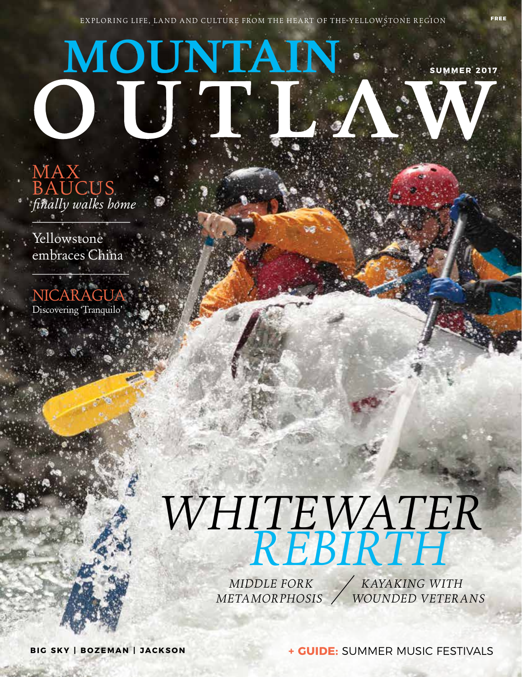## **MOUNTAIN SUMMER 2017**

MAX BAUCUS *finally walks home*

Yellowstone embraces China

**NICARAGI** Discovering 'Tranquilo'

## *WHITEWATER REBIRTH*

 *MIDDLE FORK METAMORPHOSIS*  *KAYAKING WITH WOUNDED VETERANS*

**BIG SKY | BOZEMAN | JACKSON**

**+ GUIDE:** SUMMER MUSIC FESTIVALS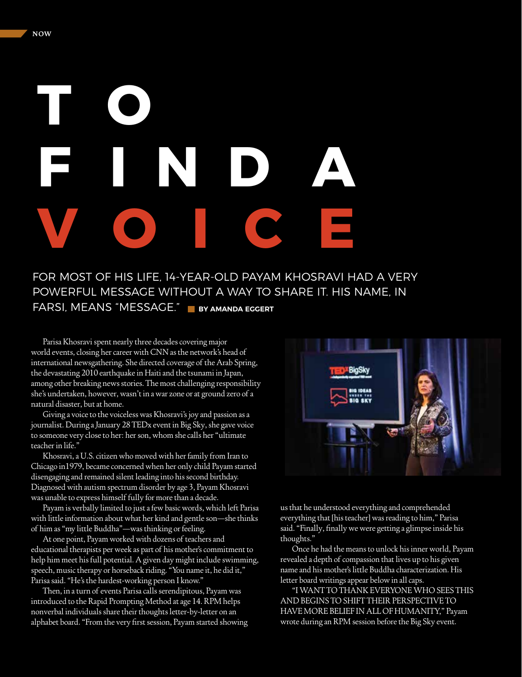## **T O F IND A VOICE**

FOR MOST OF HIS LIFE, 14-YEAR-OLD PAYAM KHOSRAVI HAD A VERY POWERFUL MESSAGE WITHOUT A WAY TO SHARE IT. HIS NAME, IN FARSI, MEANS "MESSAGE."  **BY AMANDA EGGERT**

Parisa Khosravi spent nearly three decades covering major world events, closing her career with CNN as the network's head of international newsgathering. She directed coverage of the Arab Spring, the devastating 2010 earthquake in Haiti and the tsunami in Japan, among other breaking news stories. The most challenging responsibility she's undertaken, however, wasn't in a war zone or at ground zero of a natural disaster, but at home.

Giving a voice to the voiceless was Khosravi's joy and passion as a journalist. During a January 28 TEDx event in Big Sky, she gave voice to someone very close to her: her son, whom she calls her "ultimate teacher in life."

Khosravi, a U.S. citizen who moved with her family from Iran to Chicago in1979, became concerned when her only child Payam started disengaging and remained silent leading into his second birthday. Diagnosed with autism spectrum disorder by age 3, Payam Khosravi was unable to express himself fully for more than a decade.

Payam is verbally limited to just a few basic words, which left Parisa with little information about what her kind and gentle son—she thinks of him as "my little Buddha"—was thinking or feeling.

At one point, Payam worked with dozens of teachers and educational therapists per week as part of his mother's commitment to help him meet his full potential. A given day might include swimming, speech, music therapy or horseback riding. "You name it, he did it," Parisa said. "He's the hardest-working person I know."

Then, in a turn of events Parisa calls serendipitous, Payam was introduced to the Rapid Prompting Method at age 14. RPM helps nonverbal individuals share their thoughts letter-by-letter on an alphabet board. "From the very first session, Payam started showing



us that he understood everything and comprehended everything that [his teacher] was reading to him," Parisa said. "Finally, finally we were getting a glimpse inside his thoughts."

Once he had the means to unlock his inner world, Payam revealed a depth of compassion that lives up to his given name and his mother's little Buddha characterization. His letter board writings appear below in all caps.

"I WANT TO THANK EVERYONE WHO SEES THIS AND BEGINS TO SHIFT THEIR PERSPECTIVE TO HAVE MORE BELIEF IN ALL OF HUMANITY," Payam wrote during an RPM session before the Big Sky event.